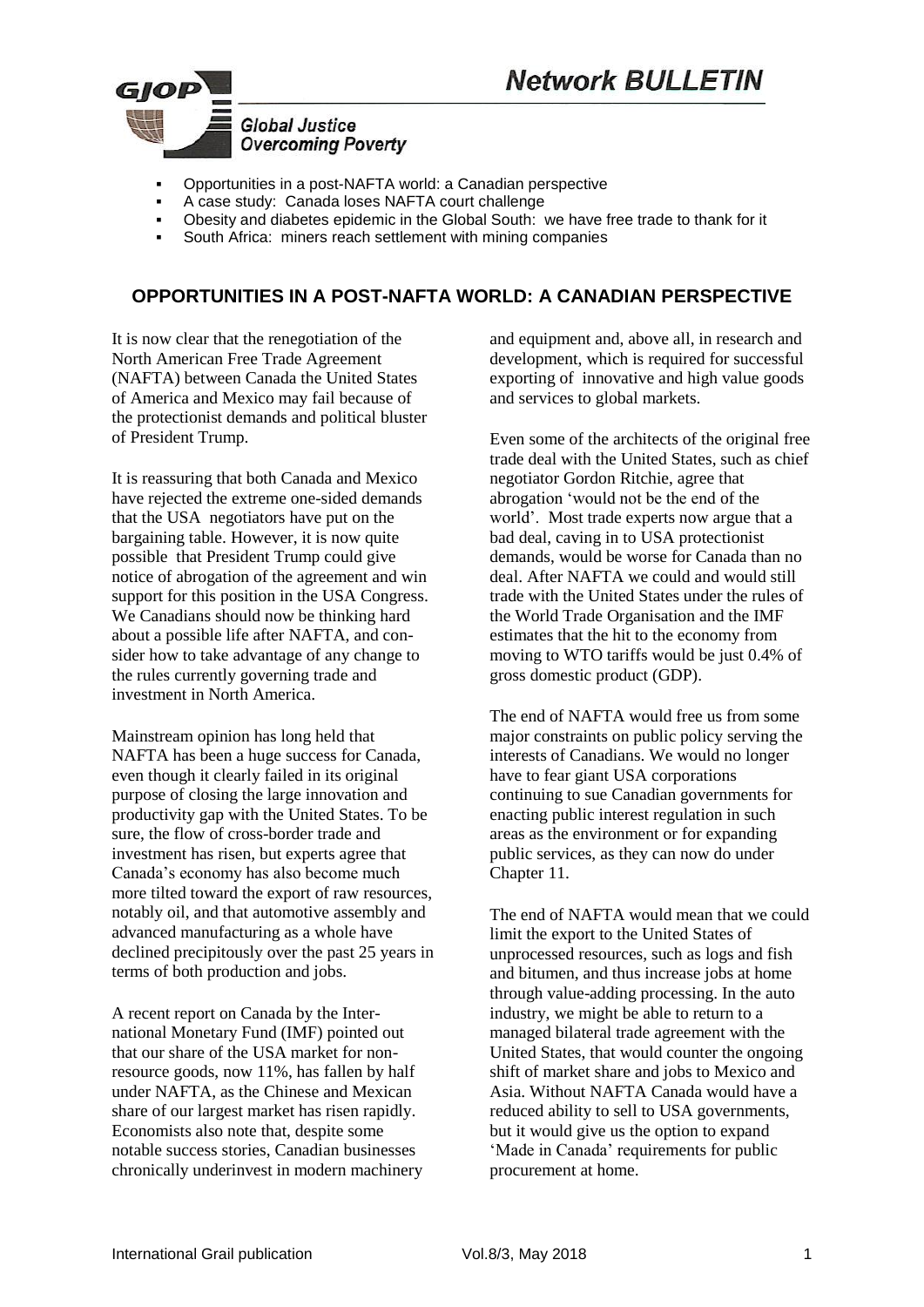

- Opportunities in a post-NAFTA world: a Canadian perspective
- A case study: Canada loses NAFTA court challenge
- Obesity and diabetes epidemic in the Global South: we have free trade to thank for it
- South Africa: miners reach settlement with mining companies

# **OPPORTUNITIES IN A POST-NAFTA WORLD: A CANADIAN PERSPECTIVE**

It is now clear that the renegotiation of the North American Free Trade Agreement (NAFTA) between Canada the United States of America and Mexico may fail because of the protectionist demands and political bluster of President Trump.

It is reassuring that both Canada and Mexico have rejected the extreme one-sided demands that the USA negotiators have put on the bargaining table. However, it is now quite possible that President Trump could give notice of abrogation of the agreement and win support for this position in the USA Congress. We Canadians should now be thinking hard about a possible life after NAFTA, and consider how to take advantage of any change to the rules currently governing trade and investment in North America.

Mainstream opinion has long held that NAFTA has been a huge success for Canada, even though it clearly failed in its original purpose of closing the large innovation and productivity gap with the United States. To be sure, the flow of cross-border trade and investment has risen, but experts agree that Canada's economy has also become much more tilted toward the export of raw resources, notably oil, and that automotive assembly and advanced manufacturing as a whole have declined precipitously over the past 25 years in terms of both production and jobs.

A recent report on Canada by the International Monetary Fund (IMF) pointed out that our share of the USA market for nonresource goods, now 11%, has fallen by half under NAFTA, as the Chinese and Mexican share of our largest market has risen rapidly. Economists also note that, despite some notable success stories, Canadian businesses chronically underinvest in modern machinery and equipment and, above all, in research and development, which is required for successful exporting of innovative and high value goods and services to global markets.

Even some of the architects of the original free trade deal with the United States, such as chief negotiator Gordon Ritchie, agree that abrogation 'would not be the end of the world'. Most trade experts now argue that a bad deal, caving in to USA protectionist demands, would be worse for Canada than no deal. After NAFTA we could and would still trade with the United States under the rules of the World Trade Organisation and the IMF estimates that the hit to the economy from moving to WTO tariffs would be just 0.4% of gross domestic product (GDP).

The end of NAFTA would free us from some major constraints on public policy serving the interests of Canadians. We would no longer have to fear giant USA corporations continuing to sue Canadian governments for enacting public interest regulation in such areas as the environment or for expanding public services, as they can now do under Chapter 11.

The end of NAFTA would mean that we could limit the export to the United States of unprocessed resources, such as logs and fish and bitumen, and thus increase jobs at home through value-adding processing. In the auto industry, we might be able to return to a managed bilateral trade agreement with the United States, that would counter the ongoing shift of market share and jobs to Mexico and Asia. Without NAFTA Canada would have a reduced ability to sell to USA governments, but it would give us the option to expand 'Made in Canada' requirements for public procurement at home.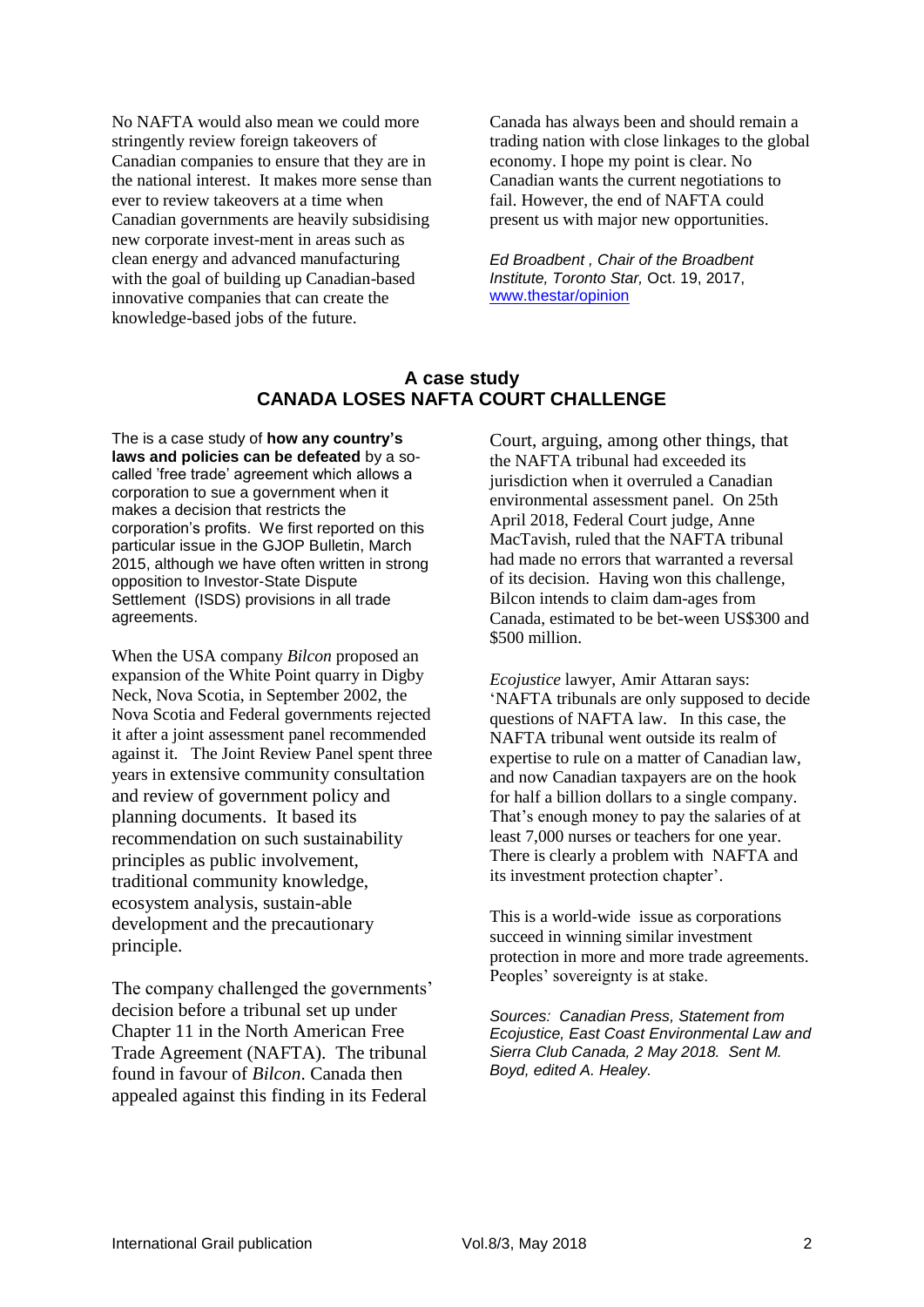No NAFTA would also mean we could more stringently review foreign takeovers of Canadian companies to ensure that they are in the national interest. It makes more sense than ever to review takeovers at a time when Canadian governments are heavily subsidising new corporate invest-ment in areas such as clean energy and advanced manufacturing with the goal of building up Canadian-based innovative companies that can create the knowledge-based jobs of the future.

Canada has always been and should remain a trading nation with close linkages to the global economy. I hope my point is clear. No Canadian wants the current negotiations to fail. However, the end of NAFTA could present us with major new opportunities.

*Ed Broadbent , Chair of the Broadbent Institute, Toronto Star,* Oct. 19, 2017, [www.thestar/opinion](http://www.thestar/opinion)

### **A case study CANADA LOSES NAFTA COURT CHALLENGE**

The is a case study of **how any country's laws and policies can be defeated** by a socalled 'free trade' agreement which allows a corporation to sue a government when it makes a decision that restricts the corporation's profits. We first reported on this particular issue in the GJOP Bulletin, March 2015, although we have often written in strong opposition to Investor-State Dispute Settlement (ISDS) provisions in all trade agreements.

When the USA company *Bilcon* proposed an expansion of the White Point quarry in Digby Neck, Nova Scotia, in September 2002, the Nova Scotia and Federal governments rejected it after a joint assessment panel recommended against it. The Joint Review Panel spent three years in extensive community consultation and review of government policy and planning documents. It based its recommendation on such sustainability principles as public involvement, traditional community knowledge, ecosystem analysis, sustain-able development and the precautionary principle.

The company challenged the governments' decision before a tribunal set up under Chapter 11 in the North American Free Trade Agreement (NAFTA). The tribunal found in favour of *Bilcon*. Canada then appealed against this finding in its Federal

Court, arguing, among other things, that the NAFTA tribunal had exceeded its jurisdiction when it overruled a Canadian environmental assessment panel. On 25th April 2018, Federal Court judge, Anne MacTavish, ruled that the NAFTA tribunal had made no errors that warranted a reversal of its decision. Having won this challenge, Bilcon intends to claim dam-ages from Canada, estimated to be bet-ween US\$300 and \$500 million.

*Ecojustice* lawyer, Amir Attaran says: 'NAFTA tribunals are only supposed to decide questions of NAFTA law. In this case, the NAFTA tribunal went outside its realm of expertise to rule on a matter of Canadian law, and now Canadian taxpayers are on the hook for half a billion dollars to a single company. That's enough money to pay the salaries of at least 7,000 nurses or teachers for one year. There is clearly a problem with NAFTA and its investment protection chapter'.

This is a world-wide issue as corporations succeed in winning similar investment protection in more and more trade agreements. Peoples' sovereignty is at stake.

*Sources: Canadian Press, Statement from Ecojustice, East Coast Environmental Law and Sierra Club Canada, 2 May 2018. Sent M. Boyd, edited A. Healey.*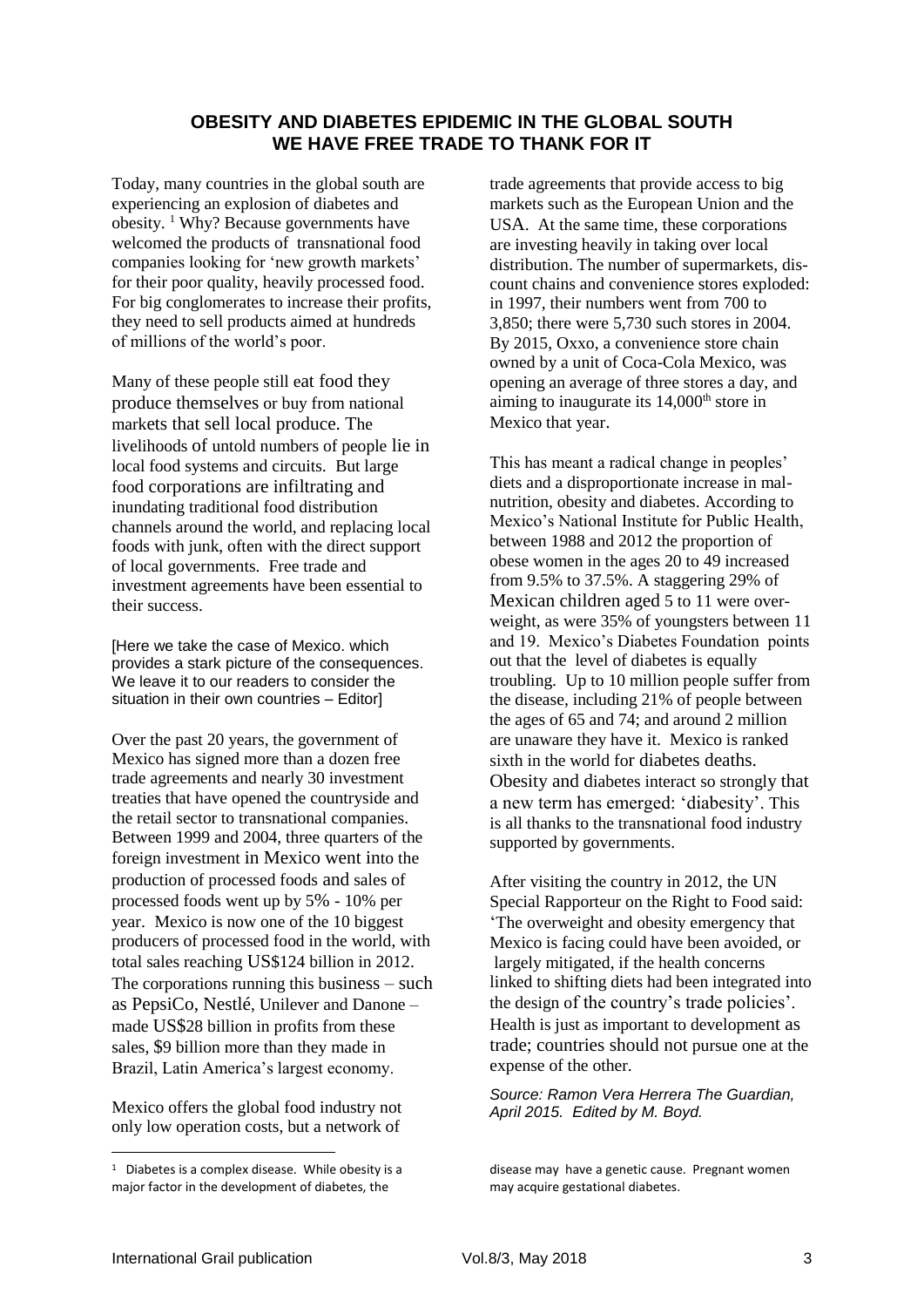# **OBESITY AND DIABETES EPIDEMIC IN THE GLOBAL SOUTH WE HAVE FREE TRADE TO THANK FOR IT**

Today, many countries in the global south are experiencing an explosion of diabetes and obesity. <sup>1</sup> Why? Because governments have welcomed the products of transnational food companies looking for 'new growth markets' for their poor quality, heavily processed food. For big conglomerates to increase their profits, they need to sell products aimed at hundreds of millions of the world's poor.

Many of these people still eat food they produce themselves or buy from national markets that sell local produce. The livelihoods of untold numbers of people lie in local food systems and circuits. But large food corporations are infiltrating and inundating traditional food distribution channels around the world, and replacing local foods with junk, often with the direct support of local governments. Free trade and investment agreements have been essential to their success.

[Here we take the case of Mexico. which provides a stark picture of the consequences. We leave it to our readers to consider the situation in their own countries – Editor]

Over the past 20 years, the government of Mexico has signed more than a dozen free trade agreements and nearly 30 investment treaties that have opened the countryside and the retail sector to transnational companies. Between 1999 and 2004, three quarters of the foreign investment in Mexico went into the production of processed foods and sales of processed foods went up by 5% - 10% per year. Mexico is now one of the 10 biggest producers of processed food in the world, with total sales reaching US\$124 billion in 2012. The corporations running this business – such as PepsiCo, Nestlé, Unilever and Danone – made US\$28 billion in profits from these sales, \$9 billion more than they made in Brazil, Latin America's largest economy.

Mexico offers the global food industry not only low operation costs, but a network of

trade agreements that provide access to big markets such as the European Union and the USA. At the same time, these corporations are investing heavily in taking over local distribution. The number of supermarkets, discount chains and convenience stores exploded: in 1997, their numbers went from 700 to 3,850; there were 5,730 such stores in 2004. By 2015, Oxxo, a convenience store chain owned by a unit of Coca-Cola Mexico, was opening an average of three stores a day, and aiming to inaugurate its  $14,000<sup>th</sup>$  store in Mexico that year.

This has meant a radical change in peoples' diets and a disproportionate increase in malnutrition, obesity and diabetes. According to Mexico's National Institute for Public Health, between 1988 and 2012 the proportion of obese women in the ages 20 to 49 increased from 9.5% to 37.5%. A staggering 29% of Mexican children aged 5 to 11 were overweight, as were 35% of youngsters between 11 and 19. Mexico's Diabetes Foundation points out that the level of diabetes is equally troubling. Up to 10 million people suffer from the disease, including 21% of people between the ages of 65 and 74; and around 2 million are unaware they have it. Mexico is ranked sixth in the world for diabetes deaths. Obesity and diabetes interact so strongly that a new term has emerged: 'diabesity'. This is all thanks to the transnational food industry supported by governments.

After visiting the country in 2012, the UN Special Rapporteur on the Right to Food said: 'The overweight and obesity emergency that Mexico is facing could have been avoided, or largely mitigated, if the health concerns linked to shifting diets had been integrated into the design of the country's trade policies'. Health is just as important to development as trade; countries should not pursue one at the expense of the other.

*Source: Ramon Vera Herrera The Guardian, April 2015. Edited by M. Boyd.* 

1

<sup>&</sup>lt;sup>1</sup> Diabetes is a complex disease. While obesity is a major factor in the development of diabetes, the

disease may have a genetic cause. Pregnant women may acquire gestational diabetes.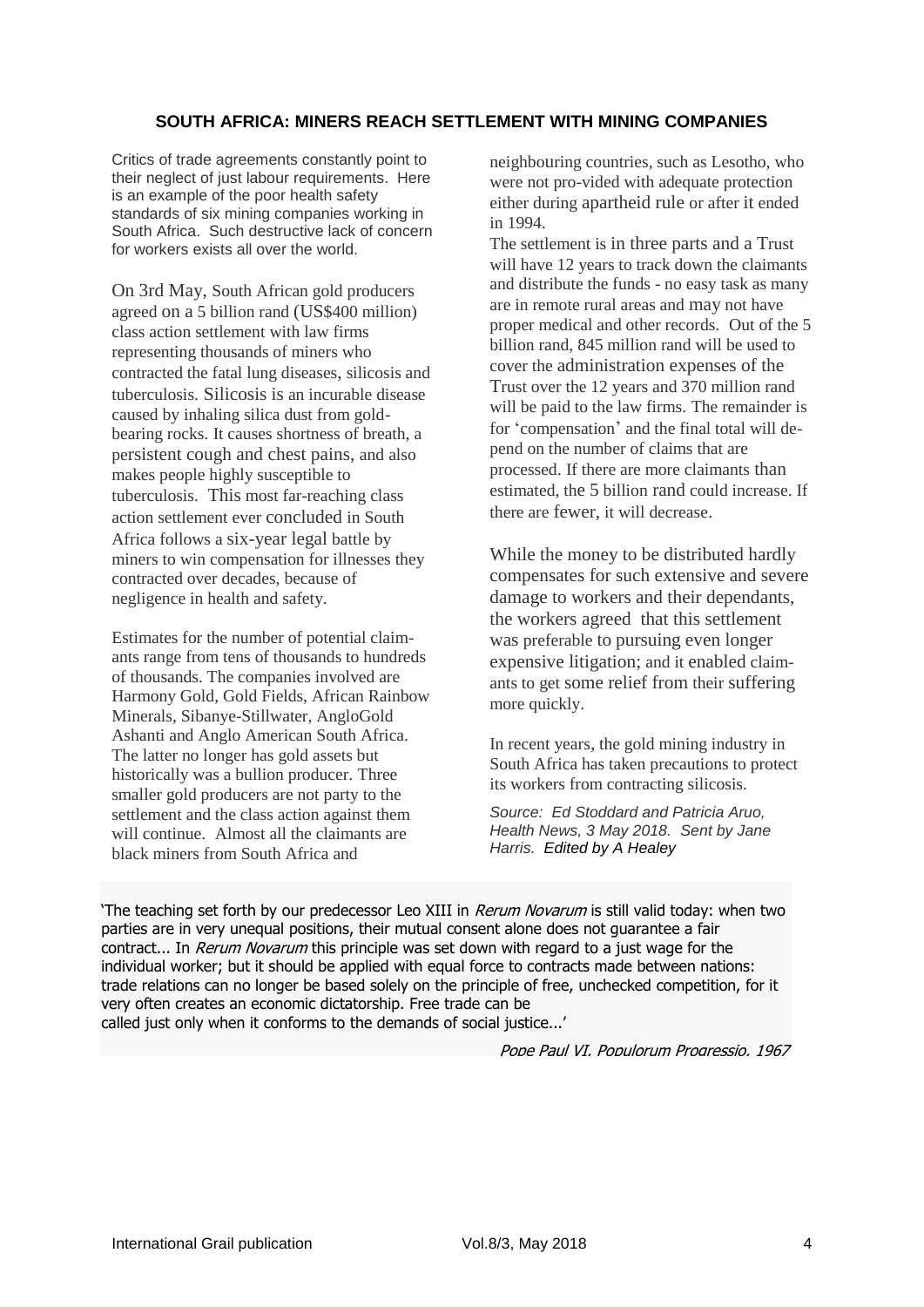## **SOUTH AFRICA: MINERS REACH SETTLEMENT WITH MINING COMPANIES**

Critics of trade agreements constantly point to their neglect of just labour requirements. Here is an example of the poor health safety standards of six mining companies working in South Africa. Such destructive lack of concern for workers exists all over the world.

On 3rd May, South African gold producers agreed on a 5 billion rand (US\$400 million) class action settlement with law firms representing thousands of miners who contracted the fatal lung diseases, silicosis and tuberculosis. Silicosis is an incurable disease caused by inhaling silica dust from goldbearing rocks. It causes shortness of breath, a persistent cough and chest pains, and also makes people highly susceptible to tuberculosis. This most far-reaching class action settlement ever concluded in South Africa follows a six-year legal battle by miners to win compensation for illnesses they contracted over decades, because of negligence in health and safety.

Estimates for the number of potential claimants range from tens of thousands to hundreds of thousands. The companies involved are Harmony Gold, Gold Fields, African Rainbow Minerals, Sibanye-Stillwater, AngloGold Ashanti and Anglo American South Africa. The latter no longer has gold assets but historically was a bullion producer. Three smaller gold producers are not party to the settlement and the class action against them will continue. Almost all the claimants are black miners from South Africa and

neighbouring countries, such as Lesotho, who were not pro-vided with adequate protection either during apartheid rule or after it ended in 1994.

The settlement is in three parts and a Trust will have 12 years to track down the claimants and distribute the funds - no easy task as many are in remote rural areas and may not have proper medical and other records. Out of the 5 billion rand, 845 million rand will be used to cover the administration expenses of the Trust over the 12 years and 370 million rand will be paid to the law firms. The remainder is for 'compensation' and the final total will depend on the number of claims that are processed. If there are more claimants than estimated, the 5 billion rand could increase. If there are fewer, it will decrease.

While the money to be distributed hardly compensates for such extensive and severe damage to workers and their dependants, the workers agreed that this settlement was preferable to pursuing even longer expensive litigation; and it enabled claimants to get some relief from their suffering more quickly.

In recent years, the gold mining industry in South Africa has taken precautions to protect its workers from contracting silicosis.

*Source: Ed Stoddard and Patricia Aruo, Health News, 3 May 2018. Sent by Jane Harris. Edited by A Healey*

'The teaching set forth by our predecessor Leo XIII in *[Rerum Novarum](http://w2.vatican.va/content/leo-xiii/en/encyclicals/documents/hf_l-xiii_enc_15051891_rerum-novarum.html)* is still valid today: when two parties are in very unequal positions, their mutual consent alone does not guarantee a fair contract... In *[Rerum Novarum](http://w2.vatican.va/content/leo-xiii/en/encyclicals/documents/hf_l-xiii_enc_15051891_rerum-novarum.html)* this principle was set down with regard to a just wage for the individual worker; but it should be applied with equal force to contracts made between nations: trade relations can no longer be based solely on the principle of free, unchecked competition, for it very often creates an economic dictatorship. Free trade can be

called just only when it conforms to the demands of social justice...'

Pope Paul VI, Populorum Progressio, 1967